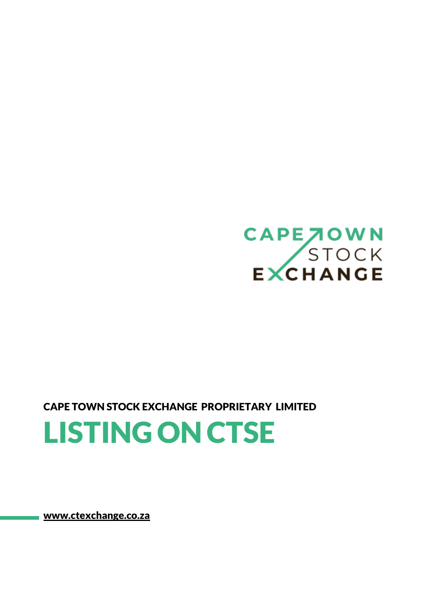

CAPE TOWN STOCK EXCHANGE PROPRIETARY LIMITED

LISTING ON CTSE

[www.ctexchange.co.za](http://www.ctexchange.co.za/)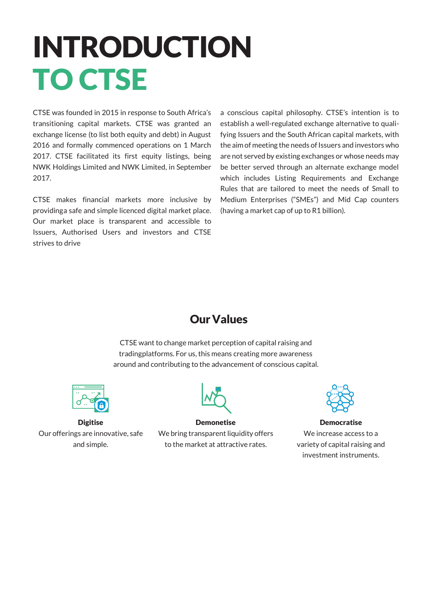# INTRODUCTION TO CTSE

CTSE was founded in 2015 in response to South Africa's transitioning capital markets. CTSE was granted an exchange license (to list both equity and debt) in August 2016 and formally commenced operations on 1 March 2017. CTSE facilitated its first equity listings, being NWK Holdings Limited and NWK Limited, in September 2017.

CTSE makes financial markets more inclusive by providinga safe and simple licenced digital market place. Our market place is transparent and accessible to Issuers, Authorised Users and investors and CTSE strives to drive

a conscious capital philosophy. CTSE's intention is to establish a well-regulated exchange alternative to qualifying Issuers and the South African capital markets, with the aim of meeting the needs of Issuers and investors who are not served by existing exchanges or whose needs may be better served through an alternate exchange model which includes Listing Requirements and Exchange Rules that are tailored to meet the needs of Small to Medium Enterprises ("SMEs") and Mid Cap counters (having a market cap of up to  $R1$  billion).

#### OurValues

CTSE want to change market perception of capital raising and tradingplatforms. For us, this means creating more awareness around and contributing to the advancement of conscious capital.



**Digitise** Ourofferings are innovative, safe and simple.



Demonetise We bring transparent liquidity offers to the market at attractive rates.



Democratise We increase access to a varietyof capital raising and investment instruments.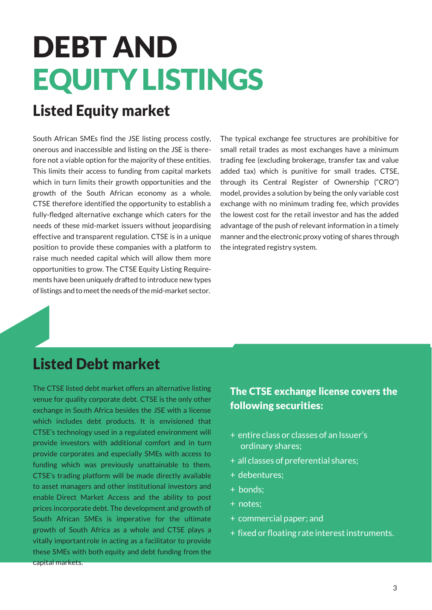# DEBT AND EQUITYLISTINGS

## Listed Equity market

South African SMEs find the JSE listing process costly, onerous and inaccessible and listing on the JSE is therefore not a viable option for the majority of these entities. This limits their access to funding from capital markets which in turn limits their growth opportunities and the growth of the South African economy as a whole. CTSE therefore identified the opportunity to establish a fully-fledged alternative exchange which caters for the needs of these mid-market issuers without jeopardising effective and transparent regulation. CTSE is in a unique position to provide these companies with a platform to raise much needed capital which will allow them more opportunities to grow. The CTSE Equity Listing Requirements have been uniquely drafted to introduce new types of listings and to meet the needs of the mid-market sector.

The typical exchange fee structures are prohibitive for small retail trades as most exchanges have a minimum trading fee (excluding brokerage, transfer tax and value added tax) which is punitive for small trades. CTSE, through its Central Register of Ownership ("CRO") model, provides a solution by being the only variable cost exchange with no minimum trading fee, which provides the lowest cost for the retail investor and has the added advantage of the push of relevant information in a timely manner and the electronic proxy voting of shares through the integrated registry system.

#### Listed Debt market

The CTSE listed debt market offers an alternative listing venue for quality corporate debt. CTSE is the only other exchange in South Africa besides the JSE with a license which includes debt products. It is envisioned that CTSE's technology used in a regulated environment will provide investors with additional comfort and in turn provide corporates and especially SMEs with access to funding which was previously unattainable to them. CTSE's trading platform will be made directly available to asset managers and other institutional investors and enable Direct Market Access and the ability to post prices incorporate debt. The development and growth of South African SMEs is imperative for the ultimate growth of South Africa as a whole and CTSE plays a vitally importantrole in acting as a facilitator to provide these SMEs with both equity and debt funding from the capital markets.

#### The CTSE exchange license covers the following securities:

- + entire class or classes of an Issuer's ordinary shares;
- + all classes of preferential shares;
- + debentures;
- + bonds;
- + notes;
- + commercial paper; and
- + fixed or floating rate interest instruments.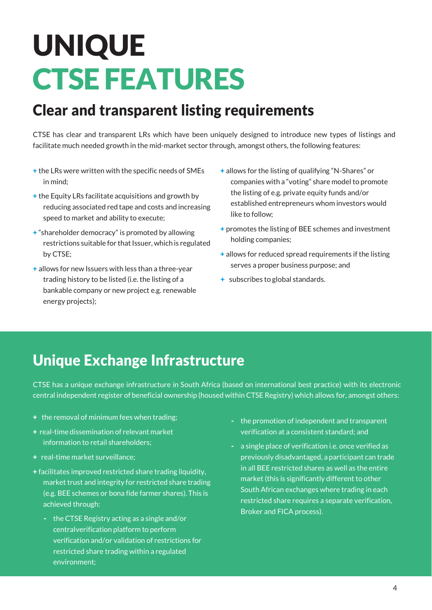# UNIQUE CTSE FEATURES

## Clear and transparent listing requirements

CTSE has clear and transparent LRs which have been uniquely designed to introduce new types of listings and facilitate much needed growth in the mid-market sector through, amongst others, the following features:

- + the LRs were written with the specific needs of SMEs in mind;
- + the Equity LRs facilitate acquisitions and growth by reducing associated red tape and costs and increasing speed to market and ability to execute;
- + "shareholder democracy" is promoted by allowing restrictions suitable for that Issuer, which is regulated by CTSE;
- + allows for new Issuers with less than a three-year trading history to be listed (i.e. the listing of a bankable company or new project e.g. renewable energy projects);
- + allows for the listing of qualifying "N-Shares" or companies with a "voting" share model to promote the listing of e.g. private equity funds and/or established entrepreneurs whom investors would like to follow;
- + promotes the listing of BEE schemes and investment holding companies;
- + allows for reduced spread requirements if the listing serves a proper business purpose; and
- + subscribes toglobal standards.

### Unique Exchange Infrastructure

CTSE has a unique exchange infrastructure in South Africa (based on international best practice) with its electronic central independent register of beneficial ownership (housed within CTSE Registry) which allows for, amongst others:

- $+$  the removal of minimum fees when trading;
- + real-time dissemination of relevant market information to retail shareholders;
- + real-time market surveillance;
- + facilitates improved restricted share trading liquidity, market trust and integrity for restricted share trading (e.g. BEE schemes or bona fide farmer shares). This is achieved through:
	- the CTSE Registry acting as a single and/or centralverification platform to perform verificationand/or validation of restrictions for restricted share trading within a regulated environment;
- the promotionof independent and transparent verificationat a consistent standard; and
- a single place of verification i.e. once verified as previously disadvantaged, a participant cantrade in all BEE restricted shares as well as the entire market (this is significantly different to other South African exchanges where trading in each restricted share requires a separate verification, Broker and FICA process).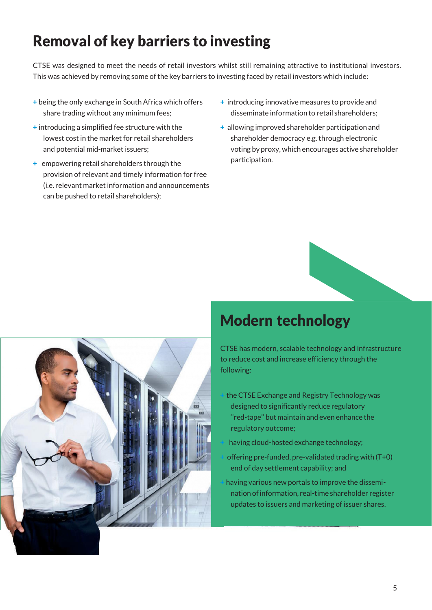## Removal of key barriers to investing

CTSE was designed to meet the needs of retail investors whilst still remaining attractive to institutional investors. This was achieved by removing some of the key barriers to investing faced by retail investors which include:

- + being the only exchange in South Africa which offers share trading without any minimum fees;
- + introducing a simplified fee structure with the lowest cost in the market for retail shareholders and potential mid-market issuers;
- $+$  empowering retail shareholders through the provision of relevant and timely information for free (i.e. relevant market information and announcements can be pushed to retail shareholders);
- + introducing innovative measures to provide and disseminate information to retail shareholders;
- + allowing improved shareholder participationand shareholder democracy e.g. through electronic voting by proxy, which encourages active shareholder participation.



### Modern technology

CTSE has modern, scalable technology and infrastructure to reduce cost and increase efficiency through the following:

- the CTSE Exchange and Registry Technology was designed to significantly reduce regulatory ''red-tape'' but maintainand evenenhance the regulatory outcome;
- having cloud-hosted exchange technology;
- offering pre-funded, pre-validated trading with  $(T+0)$ end of day settlement capability; and
- having various new portals to improve the disseminationofinformation, real-time shareholder register updates to issuers and marketing of issuer shares.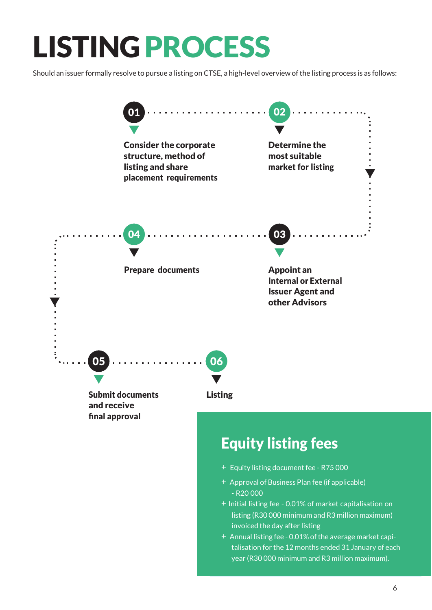## LISTING PROCESS

Should an issuer formally resolve to pursue a listing on CTSE, a high-level overview of the listing process is as follows:

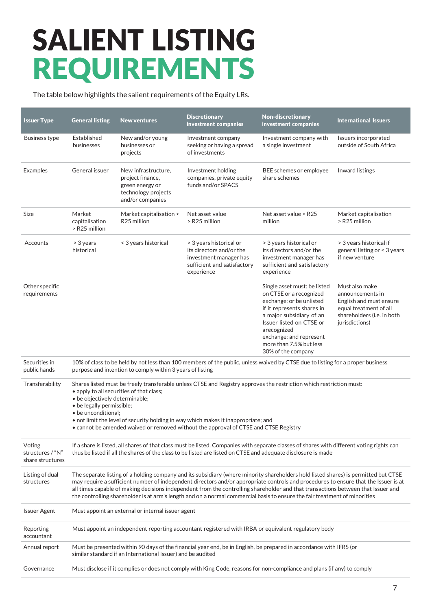## SALIENT LISTING REQUIREMENTS

The table below highlights the salient requirements of the Equity LRs.

| <b>Issuer Type</b>                             | <b>General listing</b>                                                                                                                                                                                                                                                                                                                                                                                                                                                                                                                       | <b>New ventures</b>                                                                                   | <b>Discretionary</b><br>investment companies                                                                               | <b>Non-discretionary</b><br>investment companies                                                                                                                                                                                                                     | <b>International Issuers</b>                                                                                                            |
|------------------------------------------------|----------------------------------------------------------------------------------------------------------------------------------------------------------------------------------------------------------------------------------------------------------------------------------------------------------------------------------------------------------------------------------------------------------------------------------------------------------------------------------------------------------------------------------------------|-------------------------------------------------------------------------------------------------------|----------------------------------------------------------------------------------------------------------------------------|----------------------------------------------------------------------------------------------------------------------------------------------------------------------------------------------------------------------------------------------------------------------|-----------------------------------------------------------------------------------------------------------------------------------------|
| <b>Business type</b>                           | Established<br>businesses                                                                                                                                                                                                                                                                                                                                                                                                                                                                                                                    | New and/or young<br>businesses or<br>projects                                                         | Investment company<br>seeking or having a spread<br>of investments                                                         | Investment company with<br>a single investment                                                                                                                                                                                                                       | Issuers incorporated<br>outside of South Africa                                                                                         |
| Examples                                       | General issuer                                                                                                                                                                                                                                                                                                                                                                                                                                                                                                                               | New infrastructure,<br>project finance,<br>green energy or<br>technology projects<br>and/or companies | Investment holding<br>companies, private equity<br>funds and/or SPACS                                                      | BEE schemes or employee<br>share schemes                                                                                                                                                                                                                             | Inward listings                                                                                                                         |
| Size                                           | Market<br>capitalisation<br>> R25 million                                                                                                                                                                                                                                                                                                                                                                                                                                                                                                    | Market capitalisation ><br>R <sub>25</sub> million                                                    | Net asset value<br>> R25 million                                                                                           | Net asset value > R25<br>million                                                                                                                                                                                                                                     | Market capitalisation<br>> R25 million                                                                                                  |
| Accounts                                       | > 3 years<br>historical                                                                                                                                                                                                                                                                                                                                                                                                                                                                                                                      | < 3 years historical                                                                                  | > 3 years historical or<br>its directors and/or the<br>investment manager has<br>sufficient and satisfactory<br>experience | > 3 years historical or<br>its directors and/or the<br>investment manager has<br>sufficient and satisfactory<br>experience                                                                                                                                           | > 3 years historical if<br>general listing or < 3 years<br>if new venture                                                               |
| Other specific<br>requirements                 |                                                                                                                                                                                                                                                                                                                                                                                                                                                                                                                                              |                                                                                                       |                                                                                                                            | Single asset must: be listed<br>on CTSE or a recognized<br>exchange; or be unlisted<br>if it represents shares in<br>a major subsidiary of an<br>Issuer listed on CTSE or<br>arecognized<br>exchange; and represent<br>more than 7.5% but less<br>30% of the company | Must also make<br>announcements in<br>English and must ensure<br>equal treatment of all<br>shareholders (i.e. in both<br>jurisdictions) |
| Securities in<br>public hands                  | 10% of class to be held by not less than 100 members of the public, unless waived by CTSE due to listing for a proper business<br>purpose and intention to comply within 3 years of listing                                                                                                                                                                                                                                                                                                                                                  |                                                                                                       |                                                                                                                            |                                                                                                                                                                                                                                                                      |                                                                                                                                         |
| Transferability                                | Shares listed must be freely transferable unless CTSE and Registry approves the restriction which restriction must:<br>• apply to all securities of that class;<br>· be objectively determinable;<br>· be legally permissible;<br>• be unconditional:<br>. not limit the level of security holding in way which makes it inappropriate; and<br>• cannot be amended waived or removed without the approval of CTSE and CTSE Registry                                                                                                          |                                                                                                       |                                                                                                                            |                                                                                                                                                                                                                                                                      |                                                                                                                                         |
| Voting<br>structures / "N"<br>share structures | If a share is listed, all shares of that class must be listed. Companies with separate classes of shares with different voting rights can<br>thus be listed if all the shares of the class to be listed are listed on CTSE and adequate disclosure is made                                                                                                                                                                                                                                                                                   |                                                                                                       |                                                                                                                            |                                                                                                                                                                                                                                                                      |                                                                                                                                         |
| Listing of dual<br>structures                  | The separate listing of a holding company and its subsidiary (where minority shareholders hold listed shares) is permitted but CTSE<br>may require a sufficient number of independent directors and/or appropriate controls and procedures to ensure that the Issuer is at<br>all times capable of making decisions independent from the controlling shareholder and that transactions between that Issuer and<br>the controlling shareholder is at arm's length and on a normal commercial basis to ensure the fair treatment of minorities |                                                                                                       |                                                                                                                            |                                                                                                                                                                                                                                                                      |                                                                                                                                         |
| <b>Issuer Agent</b>                            | Must appoint an external or internal issuer agent                                                                                                                                                                                                                                                                                                                                                                                                                                                                                            |                                                                                                       |                                                                                                                            |                                                                                                                                                                                                                                                                      |                                                                                                                                         |
| Reporting<br>accountant                        | Must appoint an independent reporting accountant registered with IRBA or equivalent regulatory body                                                                                                                                                                                                                                                                                                                                                                                                                                          |                                                                                                       |                                                                                                                            |                                                                                                                                                                                                                                                                      |                                                                                                                                         |
| Annual report                                  | Must be presented within 90 days of the financial year end, be in English, be prepared in accordance with IFRS (or<br>similar standard if an International Issuer) and be audited                                                                                                                                                                                                                                                                                                                                                            |                                                                                                       |                                                                                                                            |                                                                                                                                                                                                                                                                      |                                                                                                                                         |
| Governance                                     | Must disclose if it complies or does not comply with King Code, reasons for non-compliance and plans (if any) to comply                                                                                                                                                                                                                                                                                                                                                                                                                      |                                                                                                       |                                                                                                                            |                                                                                                                                                                                                                                                                      |                                                                                                                                         |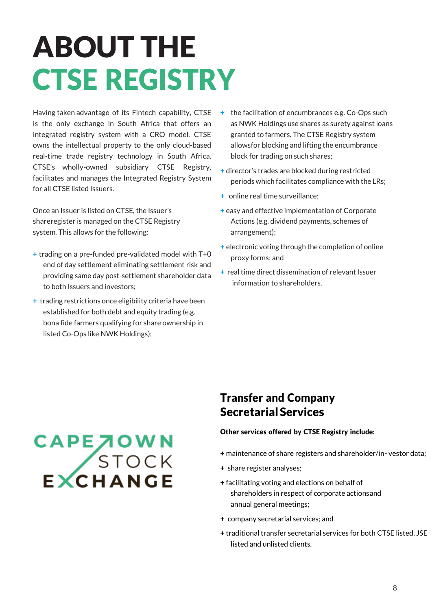# ABOUT THE CTSE REGISTRY

Having taken advantage of its Fintech capability, CTSE is the only exchange in South Africa that offers an integrated registry system with a CRO model. CTSE owns the intellectual property to the only cloud-based real-time trade registry technology in South Africa. CTSE's wholly-owned subsidiary CTSE Registry, facilitates and manages the Integrated Registry System for all CTSE listed Issuers.

Once an Issuer is listed on CTSE, the Issuer's shareregister is managed on the CTSE Registry system. This allows for the following:

- + trading on a pre-funded pre-validated model with T+0 end of day settlement eliminating settlement risk and providing same day post-settlement shareholder data to both Issuers and investors;
- + trading restrictions once eligibility criteria have been established for both debt and equity trading (e.g. bona fide farmers qualifying for share ownership in listed Co-Ops like NWK Holdings);
- + the facilitation of encumbrances e.g. Co-Ops such as NWK Holdings use shares as surety against loans granted to farmers. The CTSE Registry system allowsfor blocking and lifting the encumbrance block for trading on such shares:
- + director's trades are blocked during restricted periods which facilitates compliance with the LRs;
- + online real time surveillance:
- + easy and effective implementation of Corporate Actions (e.g. dividend payments, schemes of arrangement);
- + electronic voting through the completion of online proxy forms; and
- $+$  real time direct dissemination of relevant Issuer information to shareholders.

# CAPE JOWN<br>STOCK<br>EXCHANGE

#### Transfer and Company Secretarial Services

#### Other services offered by CTSE Registry include:

- + maintenance of share registers and shareholder/in- vestor data;
- + share register analyses;
- + facilitating voting and elections on behalf of shareholders in respect of corporate actionsand annual general meetings;
- + company secretarial services; and
- + traditional transfer secretarial services for both CTSE listed, JSE listed and unlisted clients.